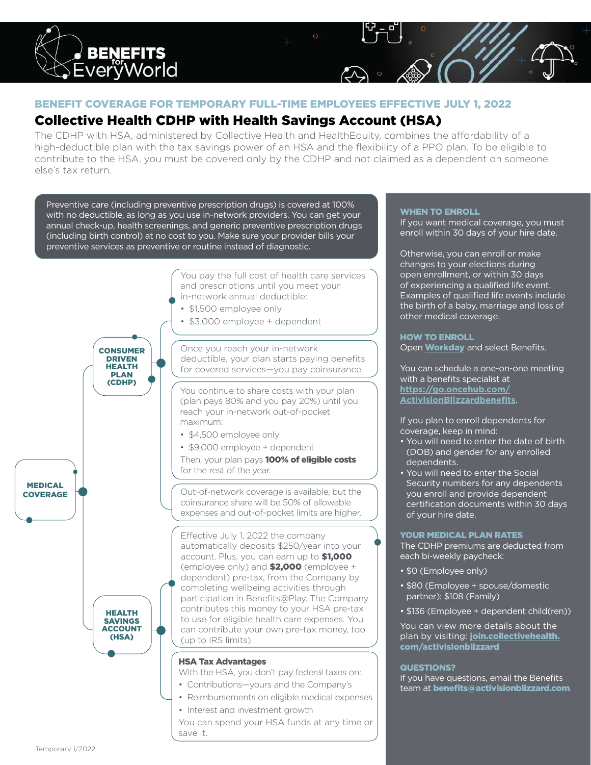

# BENEFIT COVERAGE FOR TEMPORARY FULL-TIME EMPLOYEES EFFECTIVE JULY 1, 2022

# Collective Health CDHP with Health Savings Account (HSA)

The CDHP with HSA, administered by Collective Health and HealthEquity, combines the affordability of a high-deductible plan with the tax savings power of an HSA and the flexibility of a PPO plan. To be eligible to contribute to the HSA, you must be covered only by the CDHP and not claimed as a dependent on someone else's tax return.

Preventive care (including preventive prescription drugs) is covered at 100% with no deductible, as long as you use in-network providers. You can get your annual check-up, health screenings, and generic preventive prescription drugs (including birth control) at no cost to you. Make sure your provider bills your preventive services as preventive or routine instead of diagnostic.



# WHEN TO ENROLL

If you want medical coverage, you must enroll within 30 days of your hire date.

Otherwise, you can enroll or make changes to your elections during open enrollment, or within 30 days of experiencing a qualified life event. Examples of qualified life events include the birth of a baby, marriage and loss of other medical coverage.

#### HOW TO ENROLL

Open **[Workday](http://workday.activisionblizzard.com)** and select Benefits.

You can schedule a one-on-one meeting with a benefits specialist at **[https://go.oncehub.com/](https://go.oncehub.com/ActivisionBlizzardbenefits) [ActivisionBlizzardbenefits](https://go.oncehub.com/ActivisionBlizzardbenefits)**.

If you plan to enroll dependents for coverage, keep in mind:

- You will need to enter the date of birth (DOB) and gender for any enrolled dependents.
- You will need to enter the Social Security numbers for any dependents you enroll and provide dependent certification documents within 30 days of your hire date.

#### YOUR MEDICAL PLAN RATES

The CDHP premiums are deducted from each bi-weekly paycheck:

- \$0 (Employee only)
- \$80 (Employee + spouse/domestic partner); \$108 (Family)
- \$136 (Employee + dependent child(ren))

You can view more details about the plan by visiting: **[join.collectivehealth.](http://join.collectivehealth.com/activisionblizzard)** [com/activisionblizzard](http://join.collectivehealth.com/activisionblizzard)

#### QUESTIONS?

If you have questions, email the Benefits team at **benefits@activisionblizzard.com**.